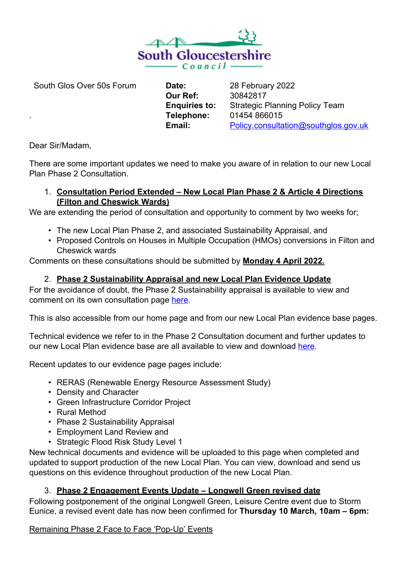

South Glos Over 50s Forum

**Date: Our Ref: Enquiries to: Telephone: Email:** 

28 February 2022 30842817 Strategic Planning Policy Team 01454 866015 [Policy.consultation@southglos.gov.uk](mailto:PlanningPolicy@southglos.gov.uk)

Dear Sir/Madam,

.

There are some important updates we need to make you aware of in relation to our new Local Plan Phase 2 Consultation.

## 1. **Consultation Period Extended – New Local Plan Phase 2 & Article 4 Directions (Filton and Cheswick Wards)**

We are extending the period of consultation and opportunity to comment by two weeks for;

- The new Local Plan Phase 2, and associated Sustainability Appraisal, and
- Proposed Controls on Houses in Multiple Occupation (HMOs) conversions in Filton and Cheswick wards

Comments on these consultations should be submitted by **Monday 4 April 2022.** 

# 2. **Phase 2 Sustainability Appraisal and new Local Plan Evidence Update**

For the avoidance of doubt, the Phase 2 Sustainability appraisal is available to view and comment on its own consultation page [here.](https://consultations.southglos.gov.uk/LPP2SA/consultationHome)

This is also accessible from our home page and from our new Local Plan evidence base pages.

Technical evidence we refer to in the Phase 2 Consultation document and further updates to our new Local Plan evidence base are all available to view and download [here](https://beta.southglos.gov.uk/local-plan-2020-evidence-base/).

Recent updates to our evidence page pages include:

- RERAS (Renewable Energy Resource Assessment Study)
- Density and Character
- Green Infrastructure Corridor Project
- Rural Method
- Phase 2 Sustainability Appraisal
- Employment Land Review and
- Strategic Flood Risk Study Level 1

New technical documents and evidence will be uploaded to this page when completed and updated to support production of the new Local Plan. You can view, download and send us questions on this evidence throughout production of the new Local Plan.

# 3. **Phase 2 Engagement Events Update – Longwell Green revised date**

Following postponement of the original Longwell Green, Leisure Centre event due to Storm Eunice, a revised event date has now been confirmed for **Thursday 10 March, 10am – 6pm:** 

Remaining Phase 2 Face to Face 'Pop-Up' Events